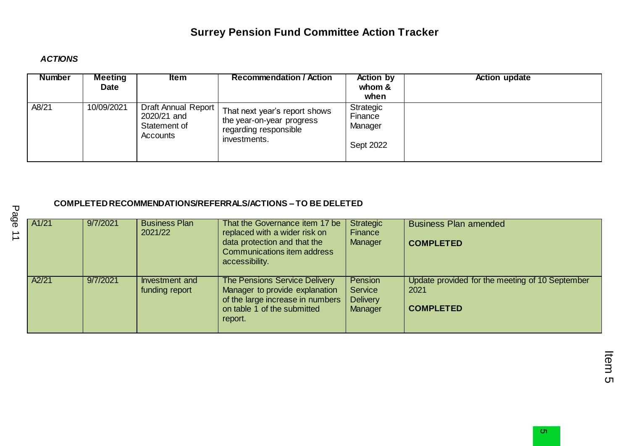#### *ACTIONS*

| <b>Number</b> | <b>Meeting</b><br><b>Date</b> | ltem                                                           | <b>Recommendation / Action</b>                                                                      | <b>Action by</b><br>whom &<br>when           | <b>Action update</b> |
|---------------|-------------------------------|----------------------------------------------------------------|-----------------------------------------------------------------------------------------------------|----------------------------------------------|----------------------|
| A8/21         | 10/09/2021                    | Draft Annual Report<br>2020/21 and<br>Statement of<br>Accounts | That next year's report shows<br>the year-on-year progress<br>regarding responsible<br>investments. | Strategic<br>Finance<br>Manager<br>Sept 2022 |                      |

#### **COMPLETED RECOMMENDATIONS/REFERRALS/ACTIONS – TO BE DELETED**

| A1/21 | 9/7/2021 | <b>Business Plan</b><br>2021/22  | That the Governance item 17 be<br>replaced with a wider risk on<br>data protection and that the<br>Communications item address<br>accessibility.     | Strategic<br>Finance<br>Manager                  | <b>Business Plan amended</b><br><b>COMPLETED</b>                            |
|-------|----------|----------------------------------|------------------------------------------------------------------------------------------------------------------------------------------------------|--------------------------------------------------|-----------------------------------------------------------------------------|
| A2/21 | 9/7/2021 | Investment and<br>funding report | <b>The Pensions Service Delivery</b><br>Manager to provide explanation<br>of the large increase in numbers<br>on table 1 of the submitted<br>report. | Pension<br>Service<br><b>Delivery</b><br>Manager | Update provided for the meeting of 10 September<br>2021<br><b>COMPLETED</b> |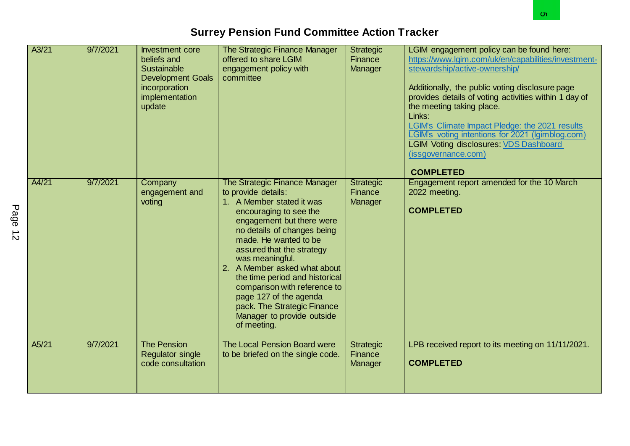|           |       |          |                                                                                                                                      | <b>Surrey Pension Fund Committee Action Tracker</b>                                                                                                                                                                                                                                                                                                                                                                                                      |                                        | o.                                                                                                                                                                                                                                                                                                                                                                                                                                                                                     |
|-----------|-------|----------|--------------------------------------------------------------------------------------------------------------------------------------|----------------------------------------------------------------------------------------------------------------------------------------------------------------------------------------------------------------------------------------------------------------------------------------------------------------------------------------------------------------------------------------------------------------------------------------------------------|----------------------------------------|----------------------------------------------------------------------------------------------------------------------------------------------------------------------------------------------------------------------------------------------------------------------------------------------------------------------------------------------------------------------------------------------------------------------------------------------------------------------------------------|
|           | A3/21 | 9/7/2021 | <b>Investment core</b><br>beliefs and<br><b>Sustainable</b><br><b>Development Goals</b><br>incorporation<br>implementation<br>update | The Strategic Finance Manager<br>offered to share LGIM<br>engagement policy with<br>committee                                                                                                                                                                                                                                                                                                                                                            | <b>Strategic</b><br>Finance<br>Manager | LGIM engagement policy can be found here:<br>https://www.lgim.com/uk/en/capabilities/investment-<br>stewardship/active-ownership/<br>Additionally, the public voting disclosure page<br>provides details of voting activities within 1 day of<br>the meeting taking place.<br>Links:<br>LGIM's Climate Impact Pledge: the 2021 results<br>LGIM's voting intentions for 2021 (Igimblog.com)<br><b>LGIM Voting disclosures: VDS Dashboard</b><br>(issgovernance.com)<br><b>COMPLETED</b> |
| Page<br>ざ | A4/21 | 9/7/2021 | Company<br>engagement and<br>voting                                                                                                  | The Strategic Finance Manager<br>to provide details:<br>1. A Member stated it was<br>encouraging to see the<br>engagement but there were<br>no details of changes being<br>made. He wanted to be<br>assured that the strategy<br>was meaningful.<br>2. A Member asked what about<br>the time period and historical<br>comparison with reference to<br>page 127 of the agenda<br>pack. The Strategic Finance<br>Manager to provide outside<br>of meeting. | <b>Strategic</b><br>Finance<br>Manager | Engagement report amended for the 10 March<br>2022 meeting.<br><b>COMPLETED</b>                                                                                                                                                                                                                                                                                                                                                                                                        |
|           | A5/21 | 9/7/2021 | <b>The Pension</b><br><b>Regulator single</b><br>code consultation                                                                   | The Local Pension Board were<br>to be briefed on the single code.                                                                                                                                                                                                                                                                                                                                                                                        | <b>Strategic</b><br>Finance<br>Manager | LPB received report to its meeting on 11/11/2021.<br><b>COMPLETED</b>                                                                                                                                                                                                                                                                                                                                                                                                                  |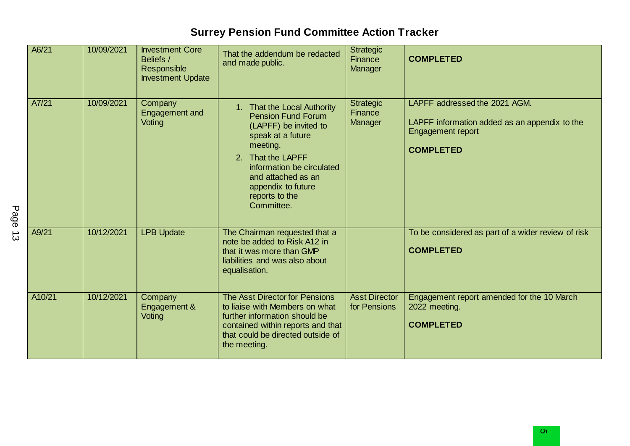| A6/21  | 10/09/2021 | <b>Investment Core</b><br>Beliefs /<br>Responsible<br><b>Investment Update</b> | That the addendum be redacted<br>and made public.                                                                                                                                                                                                | <b>Strategic</b><br>Finance<br>Manager | <b>COMPLETED</b>                                                                                                               |
|--------|------------|--------------------------------------------------------------------------------|--------------------------------------------------------------------------------------------------------------------------------------------------------------------------------------------------------------------------------------------------|----------------------------------------|--------------------------------------------------------------------------------------------------------------------------------|
| A7/21  | 10/09/2021 | Company<br>Engagement and<br>Voting                                            | 1. That the Local Authority<br><b>Pension Fund Forum</b><br>(LAPFF) be invited to<br>speak at a future<br>meeting.<br>2. That the LAPFF<br>information be circulated<br>and attached as an<br>appendix to future<br>reports to the<br>Committee. | <b>Strategic</b><br>Finance<br>Manager | LAPFF addressed the 2021 AGM.<br>LAPFF information added as an appendix to the<br><b>Engagement report</b><br><b>COMPLETED</b> |
| A9/21  | 10/12/2021 | <b>LPB Update</b>                                                              | The Chairman requested that a<br>note be added to Risk A12 in<br>that it was more than GMP<br>liabilities and was also about<br>equalisation.                                                                                                    |                                        | To be considered as part of a wider review of risk<br><b>COMPLETED</b>                                                         |
| A10/21 | 10/12/2021 | Company<br>Engagement &<br>Voting                                              | The Asst Director for Pensions<br>to liaise with Members on what<br>further information should be<br>contained within reports and that<br>that could be directed outside of<br>the meeting.                                                      | <b>Asst Director</b><br>for Pensions   | Engagement report amended for the 10 March<br>2022 meeting.<br><b>COMPLETED</b>                                                |